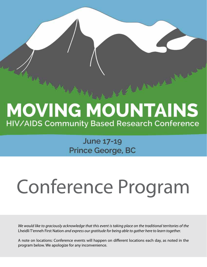## **MOVING MOUNTAINS** HIV/AIDS Community Based Research Conference

#### June 17-19 Prince George, BC

# Conference Program

*We would like to graciously acknowledge that this event is taking place on the traditional territories of the*  Lheidli T'enneh First Nation *and express our gratitude for being able to gather here to learn together.*

A note on locations: Conference events will happen on different locations each day, as noted in the program below. We apologize for any inconvenience.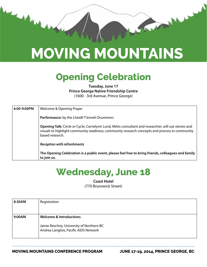

## **MOVING MOUNTAINS**

#### **Opening Celebration**

**Tuesday, June 17 Prince George Native Friendship Centre** (1600 - 3rd Avenue, Prince George)

| 6:00-9:00PM | Welcome & Opening Prayer                                                                                                                                                                                                   |
|-------------|----------------------------------------------------------------------------------------------------------------------------------------------------------------------------------------------------------------------------|
|             | Performance: by the Lheidli T'enneh Drummers                                                                                                                                                                               |
|             | Opening Talk: Circle or Cycle: Carrielynn Lund, Métis consultant and researcher, will use stories and<br>visuals to highlight community readiness, community research concepts and process in community<br>based research. |
|             | <b>Reception with refreshments</b>                                                                                                                                                                                         |
|             | The Opening Celebration is a public event, please feel free to bring friends, colleagues and family<br>to join us.                                                                                                         |

#### **Wednesday, June 18**

**Coast Hotel** (770 Brunswick Street)

| 8:30AM | Registration                                                                                                 |
|--------|--------------------------------------------------------------------------------------------------------------|
| 9:00AM | Welcome & Introductions<br>Jamie Reschny, University of Northern BC<br>Andrea Langlois, Pacific AIDS Network |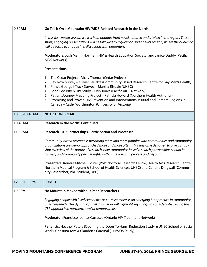| 9:30AM        | Go Tell It On a Mountain: HIV/AIDS-Related Research in the North                                                                                                                                                                                                                                                                                                                                                                                                                                                                       |
|---------------|----------------------------------------------------------------------------------------------------------------------------------------------------------------------------------------------------------------------------------------------------------------------------------------------------------------------------------------------------------------------------------------------------------------------------------------------------------------------------------------------------------------------------------------|
|               | In this fast-paced session we will hear updates from novel research undertaken in the region. These<br>short, engaging presentations will be followed by a question and answer session, where the audience<br>will be asked to engage in a discussion with presenters.                                                                                                                                                                                                                                                                 |
|               | Moderators: Josh Mann (Northern HIV & Health Education Society) and Janice Duddy (Pacific<br>AIDS Network)                                                                                                                                                                                                                                                                                                                                                                                                                             |
|               | <b>Presentations:</b>                                                                                                                                                                                                                                                                                                                                                                                                                                                                                                                  |
|               | The Cedar Project – Vicky Thomas (Cedar Project)<br>1.<br>Sex Now Survey - Olivier Ferlatte (Community-Based Research Centre for Gay Men's Health)<br>2.<br>Prince George I-Track Survey - Martha Risdale (UNBC)<br>3.<br>Food Security & HIV Study - Evin Jones (Pacific AIDS Network)<br>4.<br>5. Patient Journey Mapping Project - Patricia Howard (Northern Health Authority)<br>Promising and Proven HIV Prevention and Interventions in Rural and Remote Regions in<br>6.<br>Canada - Cathy Worthington (University of Victoria) |
| 10:30-10:45AM | <b>NUTRITION BREAK</b>                                                                                                                                                                                                                                                                                                                                                                                                                                                                                                                 |
| 10:45AM       | <b>Research in the North: Continued</b>                                                                                                                                                                                                                                                                                                                                                                                                                                                                                                |
| 11:30AM       | Research 101: Partnerships, Participation and Processes                                                                                                                                                                                                                                                                                                                                                                                                                                                                                |
|               | Community-based research is becoming more and more popular with communities and community<br>organizations are being approached more and more often. This session is designed to give a snap-<br>shot overview of the nature of research, how community-based research partnerships should be<br>formed, and community partner rights within the research process and beyond.                                                                                                                                                          |
|               | Presenters: Kendra Mitchell-Foster (Post-doctoral Research Fellow, Health Arts Research Centre,<br>Northern Medical Program & School of Health Sciences, UNBC) and Carlene Dingwall (Commu-<br>nity Researcher; PhD student, UBC)                                                                                                                                                                                                                                                                                                      |
| 12:30-1:30PM  | <b>LUNCH</b>                                                                                                                                                                                                                                                                                                                                                                                                                                                                                                                           |
| 1:30PM        | No Mountain Moved without Peer Researchers                                                                                                                                                                                                                                                                                                                                                                                                                                                                                             |
|               | Engaging people with lived experience as co-researchers is an emerging best practice in community-<br>based research. This dynamic panel discussion will highlight key things to consider when using this<br>CBR approach in northern, rural or remote areas.                                                                                                                                                                                                                                                                          |
|               | Moderator: Francisco Ibanez-Carrasco (Ontario HIV Treatment Network)                                                                                                                                                                                                                                                                                                                                                                                                                                                                   |
|               | Panelists: Heather Peters (Opening the Doors To Harm Reduction Study & UNBC School of Social<br>Work); Christina Tom & Claudette Cardinal (CHIWOS Study)                                                                                                                                                                                                                                                                                                                                                                               |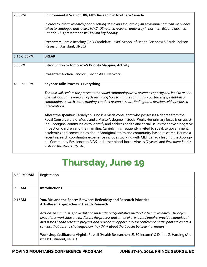| 2:30PM      | <b>Environmental Scan of HIV/AIDS Research in Northern Canada</b>                                                                                                                                                                                                                                                                                                                                                                                                                                                                                                                                                                                                                                                                     |
|-------------|---------------------------------------------------------------------------------------------------------------------------------------------------------------------------------------------------------------------------------------------------------------------------------------------------------------------------------------------------------------------------------------------------------------------------------------------------------------------------------------------------------------------------------------------------------------------------------------------------------------------------------------------------------------------------------------------------------------------------------------|
|             | In order to inform research priority setting at Moving Mountains, an environmental scan was under-<br>taken to catalogue and review HIV/AIDS-related research underway in northern BC, and northern<br>Canada. This presentation will lay out key findings.                                                                                                                                                                                                                                                                                                                                                                                                                                                                           |
|             | Presenters: Jamie Reschny (PhD Candidate, UNBC School of Health Sciences) & Sarah Jackson<br>(Research Assistant, UNBC)                                                                                                                                                                                                                                                                                                                                                                                                                                                                                                                                                                                                               |
| 3:15-3:30PM | <b>BREAK</b>                                                                                                                                                                                                                                                                                                                                                                                                                                                                                                                                                                                                                                                                                                                          |
| 3:30PM      | <b>Introduction to Tomorrow's Priority Mapping Activity</b>                                                                                                                                                                                                                                                                                                                                                                                                                                                                                                                                                                                                                                                                           |
|             | Presenter: Andrea Langlois (Pacific AIDS Network)                                                                                                                                                                                                                                                                                                                                                                                                                                                                                                                                                                                                                                                                                     |
| 4:00-5:00PM | <b>Keynote Talk: Process Is Everything</b>                                                                                                                                                                                                                                                                                                                                                                                                                                                                                                                                                                                                                                                                                            |
|             | This talk will explore the processes that build community based research capacity and lead to action.<br>She will look at the research cycle including how to initiate community partnerships, establish a<br>community research team, training, conduct research, share findings and develop evidence based<br>interventions.                                                                                                                                                                                                                                                                                                                                                                                                        |
|             | About the speaker: Carrielynn Lund is a Métis consultant who possesses a degree from the<br>Royal Conservatory of Music and a Master's degree in Social Work. Her primary focus is on assist-<br>ing Aboriginal communities to identify and address health and social issues that have a negative<br>impact on children and their families. Carrielynn is frequently invited to speak to government,<br>academics and communities about Aboriginal ethics and community-based research. Her most<br>recent research coordinator experience includes working with CIET Canada leading the Aborigi-<br>nal Community Resilience to AIDS and other blood-borne viruses (7 years) and Pavement Stories<br>- Life on the streets after 40. |

### **Thursday, June 19**

| 8:30-9:00AM | Registration                                                                                                                                                                                                                                                                                                                                                                                                         |
|-------------|----------------------------------------------------------------------------------------------------------------------------------------------------------------------------------------------------------------------------------------------------------------------------------------------------------------------------------------------------------------------------------------------------------------------|
| 9:00AM      | <b>Introductions</b>                                                                                                                                                                                                                                                                                                                                                                                                 |
| 9:15AM      | You, Me, and the Spaces Between: Reflexivity and Research Priorities<br>Arts-Based Approaches in Health Research                                                                                                                                                                                                                                                                                                     |
|             | Arts-based inquiry is a powerful and underutilized qualitative method in health research. The objec-<br>tives of this workshop are to: discuss the process and ethics of arts-based inquiry, provide examples of<br>arts-based health research projects, and provide an opportunity for conference participants to create a<br>canvass that aims to challenge how they think about the "spaces between" in research. |
|             | Workshop facilitators: Virginia Russell (Health Researcher; UNBC lecturer) & Dahne Z. Harding (Art-<br>ist; Ph.D student, UNBC)                                                                                                                                                                                                                                                                                      |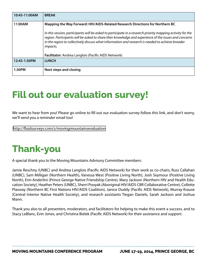| 10:45-11:00AM | <b>BREAK</b>                                                                                                                                                                                                                                                                                                                               |
|---------------|--------------------------------------------------------------------------------------------------------------------------------------------------------------------------------------------------------------------------------------------------------------------------------------------------------------------------------------------|
| 11:00AM       | Mapping the Way Forward: HIV/AIDS-Related Research Directions for Northern BC                                                                                                                                                                                                                                                              |
|               | In this session, participants will be asked to participate in a research priority mapping activity for the<br>region. Participants will be asked to share their knowledge and experience of the issues and concerns<br>in the region to collectively discuss what information and research is needed to achieve broader<br><i>impacts.</i> |
|               | <b>Facilitator:</b> Andrea Langlois (Pacific AIDS Network)                                                                                                                                                                                                                                                                                 |
| 12:45-1:30PM  | <b>LUNCH</b>                                                                                                                                                                                                                                                                                                                               |
| 1:30PM        | <b>Next steps and closing</b>                                                                                                                                                                                                                                                                                                              |

#### **Fill out our evaluation survey!**

We want to hear from you! Please go online to fill out our evaluation survey follow this link, and don't worry, we'll send you a reminder email too!

[http://fluidsurveys.com/s/movingmountainsevaluation](http://fluidsurveys.com/s/movingmountainsevaluation/)

### **Thank-you**

A special thank you to the Moving Mountains Advisory Committee members:

Jamie Reschny (UNBC) and Andrea Langlois (Pacific AIDS Network) for their work as co-chairs, Russ Callahan (UNBC), Sam Milligan (Northern Health), Vanessa West (Positive Living North), Josh Seymour (Positive Living North), Erin Anderlini (Prince George Native Friendship Centre), Mary Jackson (Northern HIV and Health Education Society), Heather Peters (UNBC), Sherri Pooyak (Aboriginal HIV/AIDS CBR Collaborative Centre), Collette Plasway (Northern BC First Nations HIV/AIDS Coalition), Janice Duddy (Pacific AIDS Network), Murray Krause (Central Interior Native Health Society), and research assistants Tiegan Daniels, Sarah Jackson and Joshua Mann.

Thank you also to all presenters, moderators, and facilitators for helping to make this event a success, and to Stacy LeBlanc, Evin Jones, and Christina Bielek (Pacific AIDS Network) for their assistance and support.